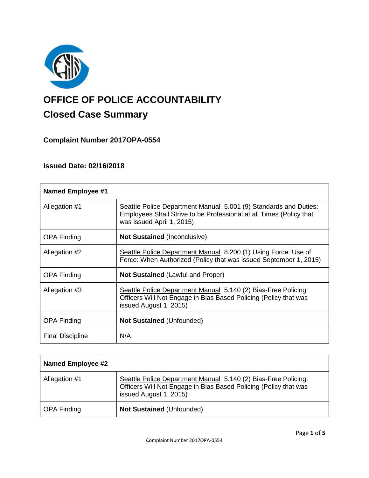

# **OFFICE OF POLICE ACCOUNTABILITY**

# **Closed Case Summary**

**Complaint Number 2017OPA-0554**

# **Issued Date: 02/16/2018**

| <b>Named Employee #1</b> |                                                                                                                                                                      |
|--------------------------|----------------------------------------------------------------------------------------------------------------------------------------------------------------------|
| Allegation #1            | Seattle Police Department Manual 5.001 (9) Standards and Duties:<br>Employees Shall Strive to be Professional at all Times (Policy that<br>was issued April 1, 2015) |
| <b>OPA Finding</b>       | <b>Not Sustained (Inconclusive)</b>                                                                                                                                  |
| Allegation #2            | Seattle Police Department Manual 8.200 (1) Using Force: Use of<br>Force: When Authorized (Policy that was issued September 1, 2015)                                  |
| <b>OPA Finding</b>       | <b>Not Sustained (Lawful and Proper)</b>                                                                                                                             |
| Allegation #3            | Seattle Police Department Manual 5.140 (2) Bias-Free Policing:<br>Officers Will Not Engage in Bias Based Policing (Policy that was<br>issued August 1, 2015)         |
| <b>OPA Finding</b>       | <b>Not Sustained (Unfounded)</b>                                                                                                                                     |
| <b>Final Discipline</b>  | N/A                                                                                                                                                                  |

| <b>Named Employee #2</b> |                                                                                                                                                              |
|--------------------------|--------------------------------------------------------------------------------------------------------------------------------------------------------------|
| Allegation #1            | Seattle Police Department Manual 5.140 (2) Bias-Free Policing:<br>Officers Will Not Engage in Bias Based Policing (Policy that was<br>issued August 1, 2015) |
| OPA Finding              | <b>Not Sustained (Unfounded)</b>                                                                                                                             |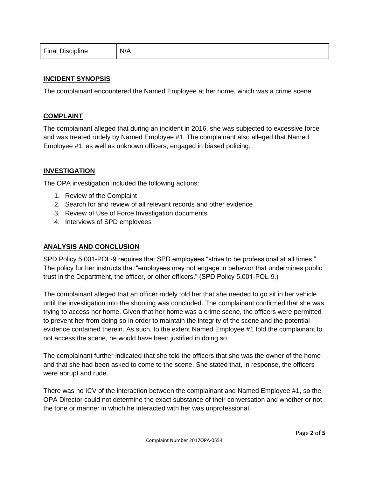| <b>Final Discipline</b> | N/A |
|-------------------------|-----|
|-------------------------|-----|

#### **INCIDENT SYNOPSIS**

The complainant encountered the Named Employee at her home, which was a crime scene.

#### **COMPLAINT**

The complainant alleged that during an incident in 2016, she was subjected to excessive force and was treated rudely by Named Employee #1. The complainant also alleged that Named Employee #1, as well as unknown officers, engaged in biased policing.

# **INVESTIGATION**

The OPA investigation included the following actions:

- 1. Review of the Complaint
- 2. Search for and review of all relevant records and other evidence
- 3. Review of Use of Force Investigation documents
- 4. Interviews of SPD employees

# **ANALYSIS AND CONCLUSION**

SPD Policy 5.001-POL-9 requires that SPD employees "strive to be professional at all times." The policy further instructs that "employees may not engage in behavior that undermines public trust in the Department, the officer, or other officers." (SPD Policy 5.001-POL-9.)

The complainant alleged that an officer rudely told her that she needed to go sit in her vehicle until the investigation into the shooting was concluded. The complainant confirmed that she was trying to access her home. Given that her home was a crime scene, the officers were permitted to prevent her from doing so in order to maintain the integrity of the scene and the potential evidence contained therein. As such, to the extent Named Employee #1 told the complainant to not access the scene, he would have been justified in doing so.

The complainant further indicated that she told the officers that she was the owner of the home and that she had been asked to come to the scene. She stated that, in response, the officers were abrupt and rude.

There was no ICV of the interaction between the complainant and Named Employee #1, so the OPA Director could not determine the exact substance of their conversation and whether or not the tone or manner in which he interacted with her was unprofessional.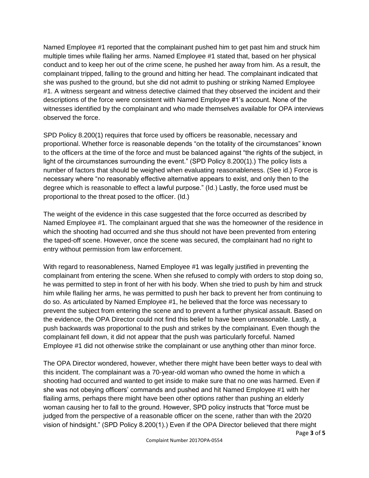Named Employee #1 reported that the complainant pushed him to get past him and struck him multiple times while flailing her arms. Named Employee #1 stated that, based on her physical conduct and to keep her out of the crime scene, he pushed her away from him. As a result, the complainant tripped, falling to the ground and hitting her head. The complainant indicated that she was pushed to the ground, but she did not admit to pushing or striking Named Employee #1. A witness sergeant and witness detective claimed that they observed the incident and their descriptions of the force were consistent with Named Employee #1's account. None of the witnesses identified by the complainant and who made themselves available for OPA interviews observed the force.

SPD Policy 8.200(1) requires that force used by officers be reasonable, necessary and proportional. Whether force is reasonable depends "on the totality of the circumstances" known to the officers at the time of the force and must be balanced against "the rights of the subject, in light of the circumstances surrounding the event." (SPD Policy 8.200(1).) The policy lists a number of factors that should be weighed when evaluating reasonableness. (See id.) Force is necessary where "no reasonably effective alternative appears to exist, and only then to the degree which is reasonable to effect a lawful purpose." (Id.) Lastly, the force used must be proportional to the threat posed to the officer. (Id.)

The weight of the evidence in this case suggested that the force occurred as described by Named Employee #1. The complainant argued that she was the homeowner of the residence in which the shooting had occurred and she thus should not have been prevented from entering the taped-off scene. However, once the scene was secured, the complainant had no right to entry without permission from law enforcement.

With regard to reasonableness, Named Employee #1 was legally justified in preventing the complainant from entering the scene. When she refused to comply with orders to stop doing so, he was permitted to step in front of her with his body. When she tried to push by him and struck him while flailing her arms, he was permitted to push her back to prevent her from continuing to do so. As articulated by Named Employee #1, he believed that the force was necessary to prevent the subject from entering the scene and to prevent a further physical assault. Based on the evidence, the OPA Director could not find this belief to have been unreasonable. Lastly, a push backwards was proportional to the push and strikes by the complainant. Even though the complainant fell down, it did not appear that the push was particularly forceful. Named Employee #1 did not otherwise strike the complainant or use anything other than minor force.

The OPA Director wondered, however, whether there might have been better ways to deal with this incident. The complainant was a 70-year-old woman who owned the home in which a shooting had occurred and wanted to get inside to make sure that no one was harmed. Even if she was not obeying officers' commands and pushed and hit Named Employee #1 with her flailing arms, perhaps there might have been other options rather than pushing an elderly woman causing her to fall to the ground. However, SPD policy instructs that "force must be judged from the perspective of a reasonable officer on the scene, rather than with the 20/20 vision of hindsight." (SPD Policy 8.200(1).) Even if the OPA Director believed that there might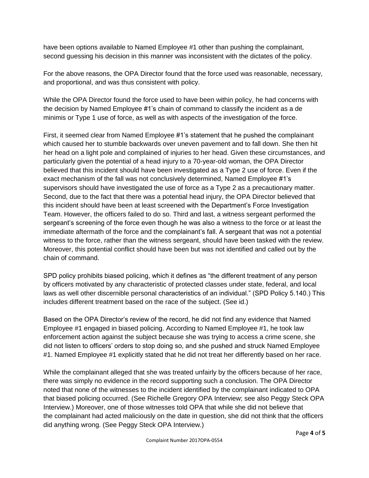have been options available to Named Employee #1 other than pushing the complainant, second guessing his decision in this manner was inconsistent with the dictates of the policy.

For the above reasons, the OPA Director found that the force used was reasonable, necessary, and proportional, and was thus consistent with policy.

While the OPA Director found the force used to have been within policy, he had concerns with the decision by Named Employee #1's chain of command to classify the incident as a de minimis or Type 1 use of force, as well as with aspects of the investigation of the force.

First, it seemed clear from Named Employee #1's statement that he pushed the complainant which caused her to stumble backwards over uneven pavement and to fall down. She then hit her head on a light pole and complained of injuries to her head. Given these circumstances, and particularly given the potential of a head injury to a 70-year-old woman, the OPA Director believed that this incident should have been investigated as a Type 2 use of force. Even if the exact mechanism of the fall was not conclusively determined, Named Employee #1's supervisors should have investigated the use of force as a Type 2 as a precautionary matter. Second, due to the fact that there was a potential head injury, the OPA Director believed that this incident should have been at least screened with the Department's Force Investigation Team. However, the officers failed to do so. Third and last, a witness sergeant performed the sergeant's screening of the force even though he was also a witness to the force or at least the immediate aftermath of the force and the complainant's fall. A sergeant that was not a potential witness to the force, rather than the witness sergeant, should have been tasked with the review. Moreover, this potential conflict should have been but was not identified and called out by the chain of command.

SPD policy prohibits biased policing, which it defines as "the different treatment of any person by officers motivated by any characteristic of protected classes under state, federal, and local laws as well other discernible personal characteristics of an individual." (SPD Policy 5.140.) This includes different treatment based on the race of the subject. (See id.)

Based on the OPA Director's review of the record, he did not find any evidence that Named Employee #1 engaged in biased policing. According to Named Employee #1, he took law enforcement action against the subject because she was trying to access a crime scene, she did not listen to officers' orders to stop doing so, and she pushed and struck Named Employee #1. Named Employee #1 explicitly stated that he did not treat her differently based on her race.

While the complainant alleged that she was treated unfairly by the officers because of her race, there was simply no evidence in the record supporting such a conclusion. The OPA Director noted that none of the witnesses to the incident identified by the complainant indicated to OPA that biased policing occurred. (See Richelle Gregory OPA Interview; see also Peggy Steck OPA Interview.) Moreover, one of those witnesses told OPA that while she did not believe that the complainant had acted maliciously on the date in question, she did not think that the officers did anything wrong. (See Peggy Steck OPA Interview.)